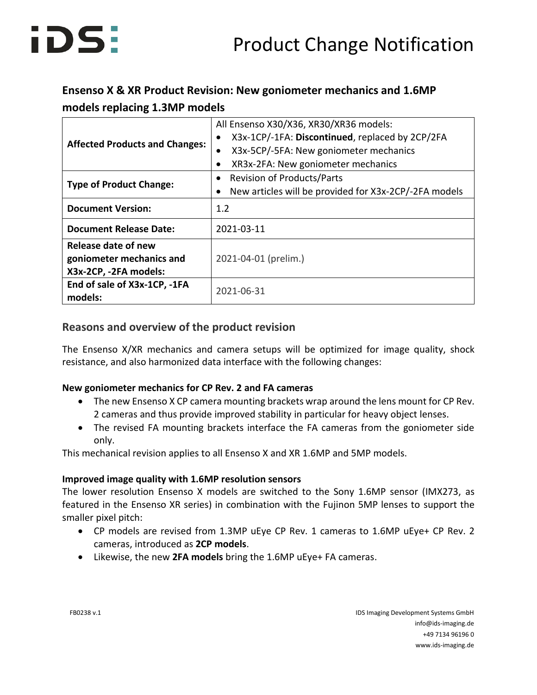### **Ensenso X & XR Product Revision: New goniometer mechanics and 1.6MP models replacing 1.3MP models**

| <b>Affected Products and Changes:</b>                                    | All Ensenso X30/X36, XR30/XR36 models:<br>X3x-1CP/-1FA: Discontinued, replaced by 2CP/2FA<br>X3x-5CP/-5FA: New goniometer mechanics<br>$\bullet$<br>XR3x-2FA: New goniometer mechanics<br>$\bullet$ |  |  |
|--------------------------------------------------------------------------|-----------------------------------------------------------------------------------------------------------------------------------------------------------------------------------------------------|--|--|
| <b>Type of Product Change:</b>                                           | <b>Revision of Products/Parts</b><br>$\bullet$<br>New articles will be provided for X3x-2CP/-2FA models<br>٠                                                                                        |  |  |
| <b>Document Version:</b>                                                 | 1.2                                                                                                                                                                                                 |  |  |
| <b>Document Release Date:</b>                                            | 2021-03-11                                                                                                                                                                                          |  |  |
| Release date of new<br>goniometer mechanics and<br>X3x-2CP, -2FA models: | 2021-04-01 (prelim.)                                                                                                                                                                                |  |  |
| End of sale of X3x-1CP, -1FA<br>models:                                  | 2021-06-31                                                                                                                                                                                          |  |  |

### **Reasons and overview of the product revision**

The Ensenso X/XR mechanics and camera setups will be optimized for image quality, shock resistance, and also harmonized data interface with the following changes:

### **New goniometer mechanics for CP Rev. 2 and FA cameras**

- The new Ensenso X CP camera mounting brackets wrap around the lens mount for CP Rev. 2 cameras and thus provide improved stability in particular for heavy object lenses.
- The revised FA mounting brackets interface the FA cameras from the goniometer side only.

This mechanical revision applies to all Ensenso X and XR 1.6MP and 5MP models.

### **Improved image quality with 1.6MP resolution sensors**

The lower resolution Ensenso X models are switched to the Sony 1.6MP sensor (IMX273, as featured in the Ensenso XR series) in combination with the Fujinon 5MP lenses to support the smaller pixel pitch:

- CP models are revised from 1.3MP uEye CP Rev. 1 cameras to 1.6MP uEye+ CP Rev. 2 cameras, introduced as **2CP models**.
- Likewise, the new **2FA models** bring the 1.6MP uEye+ FA cameras.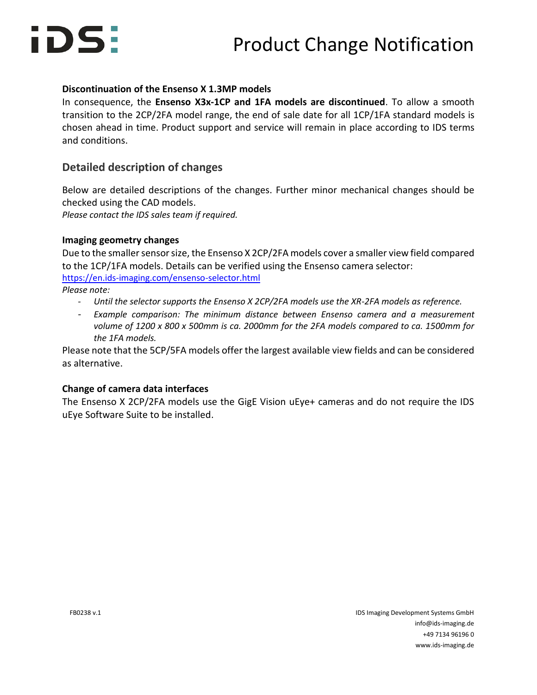

#### **Discontinuation of the Ensenso X 1.3MP models**

In consequence, the **Ensenso X3x-1CP and 1FA models are discontinued**. To allow a smooth transition to the 2CP/2FA model range, the end of sale date for all 1CP/1FA standard models is chosen ahead in time. Product support and service will remain in place according to IDS terms and conditions.

### **Detailed description of changes**

Below are detailed descriptions of the changes. Further minor mechanical changes should be checked using the CAD models. *Please contact the IDS sales team if required.*

#### **Imaging geometry changes**

Due to the smaller sensor size, the Ensenso X 2CP/2FA models cover a smaller view field compared to the 1CP/1FA models. Details can be verified using the Ensenso camera selector: <https://en.ids-imaging.com/ensenso-selector.html> *Please note:*

- *- Until the selector supports the Ensenso X 2CP/2FA models use the XR-2FA models as reference.*
- Example comparison: The minimum distance between Ensenso camera and a measurement *volume of 1200 x 800 x 500mm is ca. 2000mm for the 2FA models compared to ca. 1500mm for the 1FA models.*

Please note that the 5CP/5FA models offer the largest available view fields and can be considered as alternative.

#### **Change of camera data interfaces**

The Ensenso X 2CP/2FA models use the GigE Vision uEye+ cameras and do not require the IDS uEye Software Suite to be installed.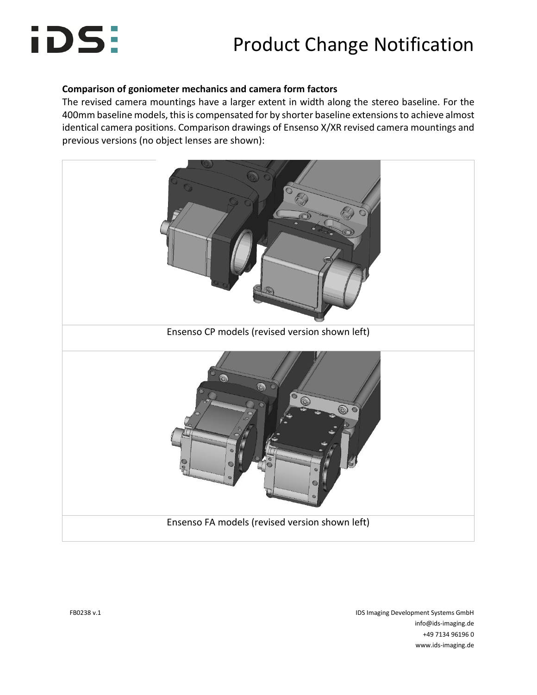## Product Change Notification

### **Comparison of goniometer mechanics and camera form factors**

The revised camera mountings have a larger extent in width along the stereo baseline. For the 400mm baseline models, this is compensated for by shorter baseline extensions to achieve almost identical camera positions. Comparison drawings of Ensenso X/XR revised camera mountings and previous versions (no object lenses are shown):



FB0238 v.1 IDS Imaging Development Systems GmbH info@ids-imaging.de +49 7134 96196 0 www.ids-imaging.de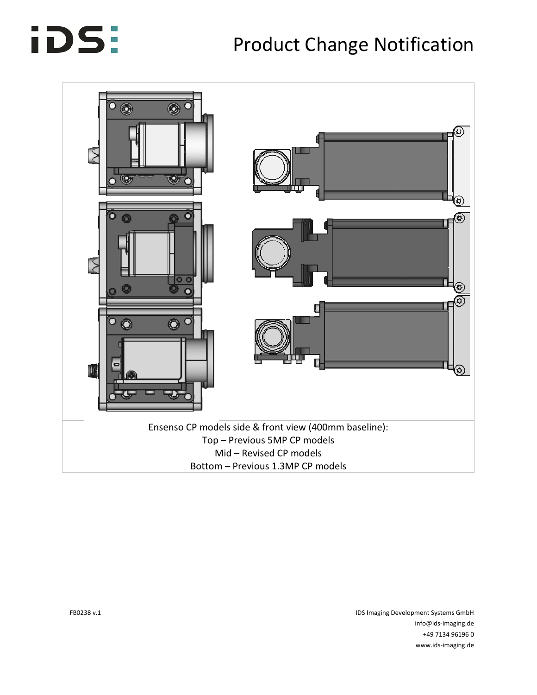## Product Change Notification